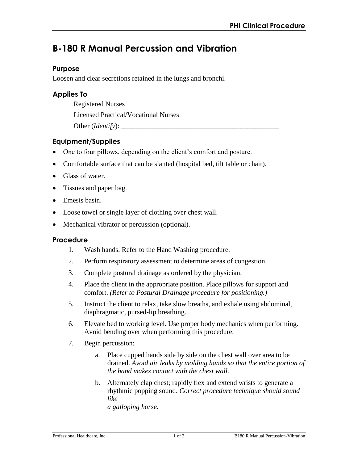# **B-180 R Manual Percussion and Vibration**

## **Purpose**

Loosen and clear secretions retained in the lungs and bronchi.

## **Applies To**

Registered Nurses

Licensed Practical/Vocational Nurses

Other (*Identify*):

## **Equipment/Supplies**

- One to four pillows, depending on the client's comfort and posture.
- Comfortable surface that can be slanted (hospital bed, tilt table or chair).
- Glass of water.
- Tissues and paper bag.
- Emesis basin.
- Loose towel or single layer of clothing over chest wall.
- Mechanical vibrator or percussion (optional).

## **Procedure**

- 1. Wash hands. Refer to the Hand Washing procedure.
- 2. Perform respiratory assessment to determine areas of congestion.
- 3. Complete postural drainage as ordered by the physician.
- 4. Place the client in the appropriate position. Place pillows for support and comfort. *(Refer to Postural Drainage procedure for positioning.)*
- 5. Instruct the client to relax, take slow breaths, and exhale using abdominal, diaphragmatic, pursed-lip breathing.
- 6. Elevate bed to working level. Use proper body mechanics when performing. Avoid bending over when performing this procedure.
- 7. Begin percussion:
	- a. Place cupped hands side by side on the chest wall over area to be drained. *Avoid air leaks by molding hands so that the entire portion of the hand makes contact with the chest wall.*
	- b. Alternately clap chest; rapidly flex and extend wrists to generate a rhythmic popping sound. *Correct procedure technique should sound like a galloping horse.*